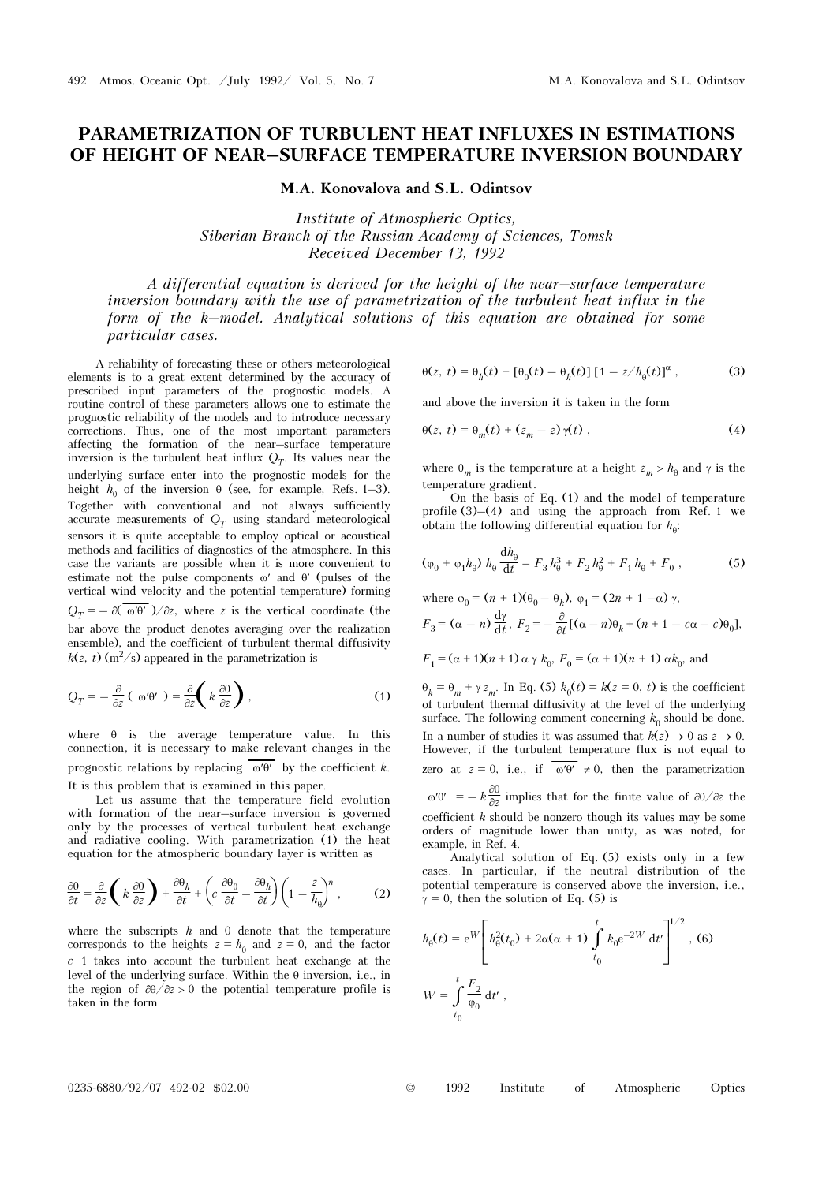## PARAMETRIZATION OF TURBULENT HEAT INFLUXES IN ESTIMATIONS OF HEIGHT OF NEAR–SURFACE TEMPERATURE INVERSION BOUNDARY

M.A. Konovalova and S.L. Odintsov

Institute of Atmospheric Optics, Siberian Branch of the Russian Academy of Sciences, Tomsk Received December 13, 1992

A differential equation is derived for the height of the near–surface temperature inversion boundary with the use of parametrization of the turbulent heat influx in the form of the k–model. Analytical solutions of this equation are obtained for some particular cases.

A reliability of forecasting these or others meteorological elements is to a great extent determined by the accuracy of prescribed input parameters of the prognostic models. A routine control of these parameters allows one to estimate the prognostic reliability of the models and to introduce necessary corrections. Thus, one of the most important parameters affecting the formation of the near–surface temperature inversion is the turbulent heat influx  $Q_T$ . Its values near the underlying surface enter into the prognostic models for the height  $h_{\theta}$  of the inversion  $\theta$  (see, for example, Refs. 1–3). Together with conventional and not always sufficiently accurate measurements of  $Q_T$  using standard meteorological sensors it is quite acceptable to employ optical or acoustical methods and facilities of diagnostics of the atmosphere. In this case the variants are possible when it is more convenient to estimate not the pulse components ω′ and θ′ (pulses of the vertical wind velocity and the potential temperature) forming  $Q_T = -\partial(\omega \theta')/\partial z$ , where z is the vertical coordinate (the bar above the product denotes averaging over the realization ensemble), and the coefficient of turbulent thermal diffusivity  $k(z, t)$  (m<sup>2</sup>/s) appeared in the parametrization is

$$
Q_T = -\frac{\partial}{\partial z} \left( \overline{\omega' \theta'} \right) = \frac{\partial}{\partial z} \left( k \frac{\partial \theta}{\partial z} \right), \tag{1}
$$

where  $\theta$  is the average temperature value. In this connection, it is necessary to make relevant changes in the prognostic relations by replacing  $\omega \theta'$  by the coefficient k. It is this problem that is examined in this paper.

Let us assume that the temperature field evolution with formation of the near–surface inversion is governed only by the processes of vertical turbulent heat exchange and radiative cooling. With parametrization (1) the heat equation for the atmospheric boundary layer is written as

$$
\frac{\partial \theta}{\partial t} = \frac{\partial}{\partial z} \left( k \frac{\partial \theta}{\partial z} \right) + \frac{\partial \theta_h}{\partial t} + \left( c \frac{\partial \theta_0}{\partial t} - \frac{\partial \theta_h}{\partial t} \right) \left( 1 - \frac{z}{h_\theta} \right)^n, \tag{2}
$$

where the subscripts  $h$  and 0 denote that the temperature corresponds to the heights  $z = h_{\theta}$  and  $z = 0$ , and the factor  $c$  1 takes into account the turbulent heat exchange at the level of the underlying surface. Within the θ inversion, i.e., in the region of  $\partial \theta / \partial z > 0$  the potential temperature profile is taken in the form

$$
\theta(z, t) = \theta_h(t) + [\theta_0(t) - \theta_h(t)][1 - z/h_\theta(t)]^\alpha , \qquad (3)
$$

and above the inversion it is taken in the form

$$
\Theta(z, t) = \Theta_m(t) + (z_m - z) \gamma(t), \qquad (4)
$$

where  $\theta_m$  is the temperature at a height  $z_m > h_\theta$  and  $\gamma$  is the temperature gradient.

On the basis of Eq. (1) and the model of temperature profile  $(3)$ – $(4)$  and using the approach from Ref. 1 we obtain the following differential equation for  $h_{\theta}$ :

$$
(\varphi_0 + \varphi_1 h_\theta) h_\theta \frac{\mathrm{d}h_\theta}{\mathrm{d}t} = F_3 h_\theta^3 + F_2 h_\theta^2 + F_1 h_\theta + F_0 , \qquad (5)
$$

where  $\varphi_0 = (n + 1)(\theta_0 - \theta_b)$ ,  $\varphi_1 = (2n + 1 - \alpha) \gamma$ ,  $F_3 = (\alpha - n) \frac{d\gamma}{dt}, F_2 = -\frac{\partial}{\partial t} [(\alpha - n)\theta_k + (n + 1 - c\alpha - c)\theta_0],$ 

$$
F_1 = (\alpha + 1)(n + 1) \alpha \gamma k_0
$$
,  $F_0 = (\alpha + 1)(n + 1) \alpha k_0$ , and

 $\theta_k = \theta_m + \gamma z_m$ . In Eq. (5)  $k_0(t) = k(z = 0, t)$  is the coefficient of turbulent thermal diffusivity at the level of the underlying surface. The following comment concerning  $k_0$  should be done. In a number of studies it was assumed that  $k(z) \to 0$  as  $z \to 0$ . However, if the turbulent temperature flux is not equal to zero at  $z = 0$ , i.e., if  $\overline{\omega' \theta'} \neq 0$ , then the parametrization  $\overline{\omega' \theta'}$  = –  $k \frac{\partial \theta}{\partial z}$  implies that for the finite value of  $\partial \theta / \partial z$  the ∂z<br>ch coefficient k should be nonzero though its values may be some orders of magnitude lower than unity as was noted for orders of magnitude lower than unity, as was noted, for example, in Ref. 4.

Analytical solution of Eq. (5) exists only in a few cases. In particular, if the neutral distribution of the potential temperature is conserved above the inversion, i.e.,  $\gamma = 0$ , then the solution of Eq. (5) is

$$
h_{\theta}(t) = e^{W} \left[ h_{\theta}^{2}(t_{0}) + 2\alpha(\alpha + 1) \int_{t_{0}}^{t} k_{0} e^{-2W} dt' \right]^{1/2}, (6)
$$
  

$$
W = \int_{t_{0}}^{t} \frac{F_{2}}{\varphi_{0}} dt',
$$